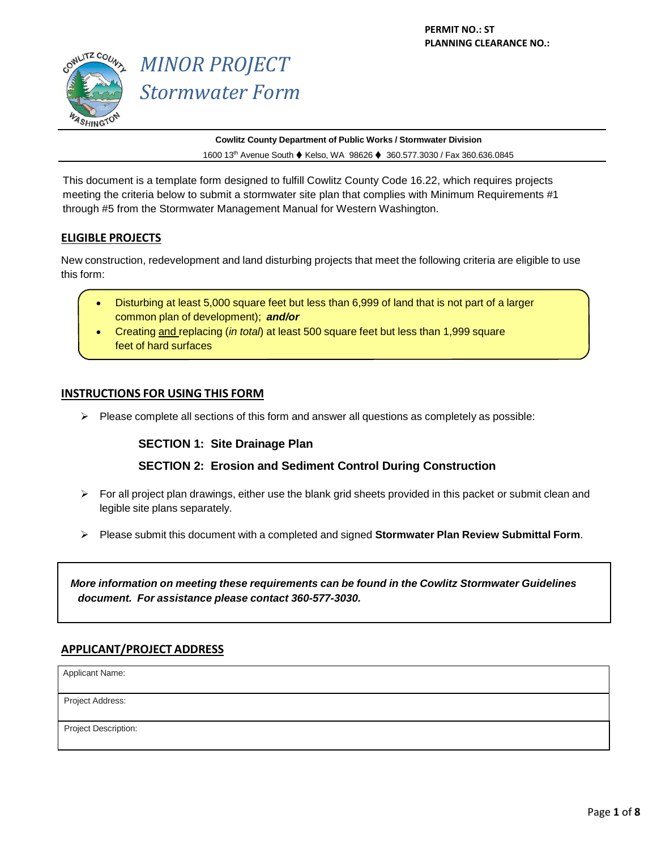

# *MINOR PROJECT Stormwater Form*

**Cowlitz County Department of Public Works / Stormwater Division** 1600 13<sup>th</sup> Avenue South ♦ Kelso, WA 98626 ♦ 360.577.3030 / Fax 360.636.0845

This document is a template form designed to fulfill Cowlitz County Code 16.22, which requires projects meeting the criteria below to submit a stormwater site plan that complies with Minimum Requirements #1 through #5 from the Stormwater Management Manual for Western Washington.

## **ELIGIBLE PROJECTS**

New construction, redevelopment and land disturbing projects that meet the following criteria are eligible to use this form:

- Disturbing at least 5,000 square feet but less than 6,999 of land that is not part of a larger common plan of development); *and/or*
- Creating and replacing (*in total*) at least 500 square feet but less than 1,999 square feet of hard surfaces

## **INSTRUCTIONS FOR USING THIS FORM**

 $\triangleright$  Please complete all sections of this form and answer all questions as completely as possible:

#### **SECTION 1: Site Drainage Plan**

## **SECTION 2: Erosion and Sediment Control During Construction**

- $\triangleright$  For all project plan drawings, either use the blank grid sheets provided in this packet or submit clean and legible site plans separately.
- Please submit this document with a completed and signed **Stormwater Plan Review Submittal Form**.

*More information on meeting these requirements can be found in the Cowlitz Stormwater Guidelines document. For assistance please contact 360-577-3030.*

#### **APPLICANT/PROJECT ADDRESS**

Applicant Name:

Project Address:

Project Description: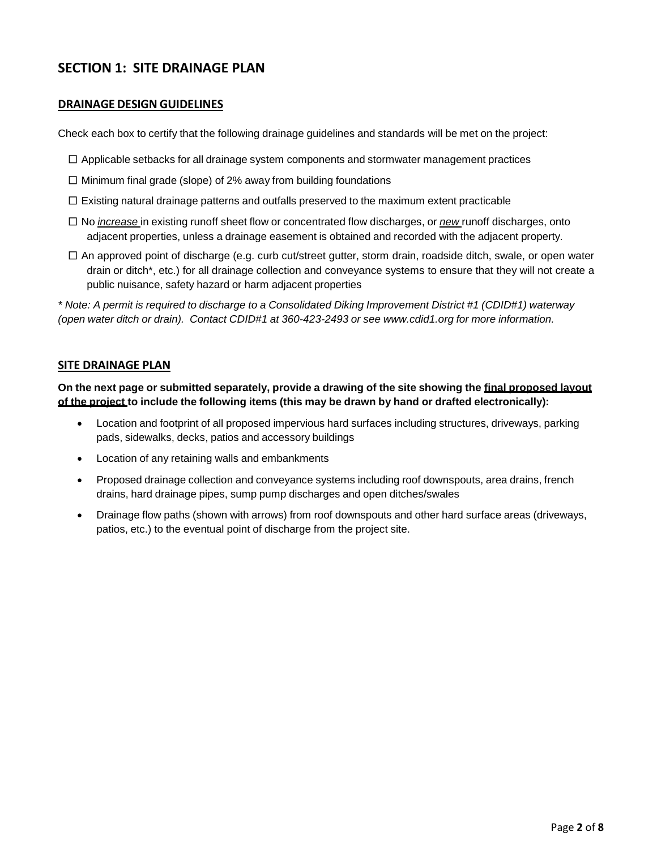# **SECTION 1: SITE DRAINAGE PLAN**

#### **DRAINAGE DESIGN GUIDELINES**

Check each box to certify that the following drainage guidelines and standards will be met on the project:

- $\square$  Applicable setbacks for all drainage system components and stormwater management practices
- $\square$  Minimum final grade (slope) of 2% away from building foundations
- $\square$  Existing natural drainage patterns and outfalls preserved to the maximum extent practicable
- □ No *increase* in existing runoff sheet flow or concentrated flow discharges, or *new* runoff discharges, onto adjacent properties, unless a drainage easement is obtained and recorded with the adjacent property.
- $\square$  An approved point of discharge (e.g. curb cut/street gutter, storm drain, roadside ditch, swale, or open water drain or ditch\*, etc.) for all drainage collection and conveyance systems to ensure that they will not create a public nuisance, safety hazard or harm adjacent properties

\* Note: A permit is required to discharge to a Consolidated Diking Improvement District #1 (CDID#1) waterway *(open water ditch or drain). Contact CDID#1 at 360-423-2493 or see [www.cdid1.org](http://www.cdid1.org/) for more information.*

#### **SITE DRAINAGE PLAN**

**On the next page or submitted separately, provide a drawing of the site showing the final proposed layout of the project to include the following items (this may be drawn by hand or drafted electronically):**

- Location and footprint of all proposed impervious hard surfaces including structures, driveways, parking pads, sidewalks, decks, patios and accessory buildings
- Location of any retaining walls and embankments
- Proposed drainage collection and conveyance systems including roof downspouts, area drains, french drains, hard drainage pipes, sump pump discharges and open ditches/swales
- Drainage flow paths (shown with arrows) from roof downspouts and other hard surface areas (driveways, patios, etc.) to the eventual point of discharge from the project site.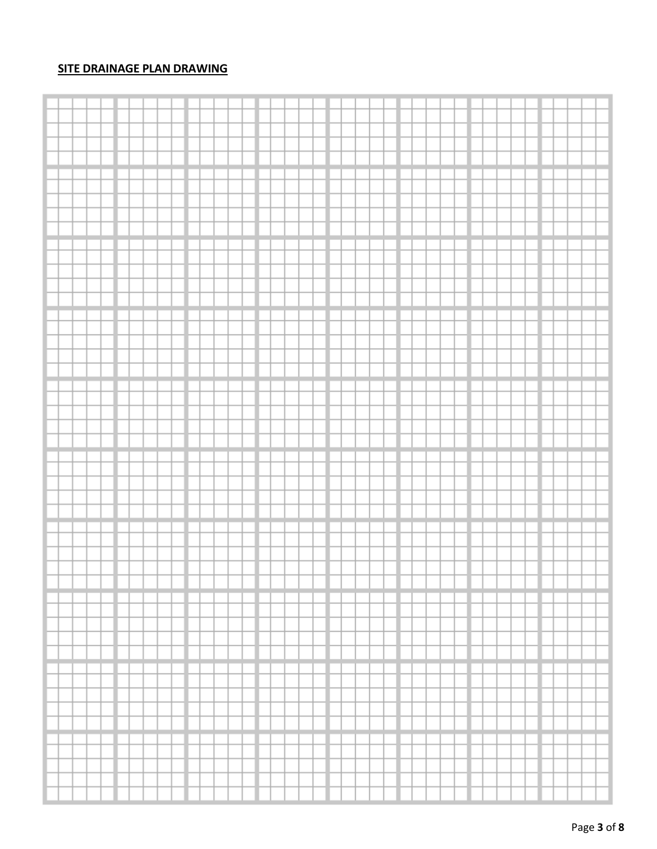# **SITE DRAINAGE PLAN DRAWING**

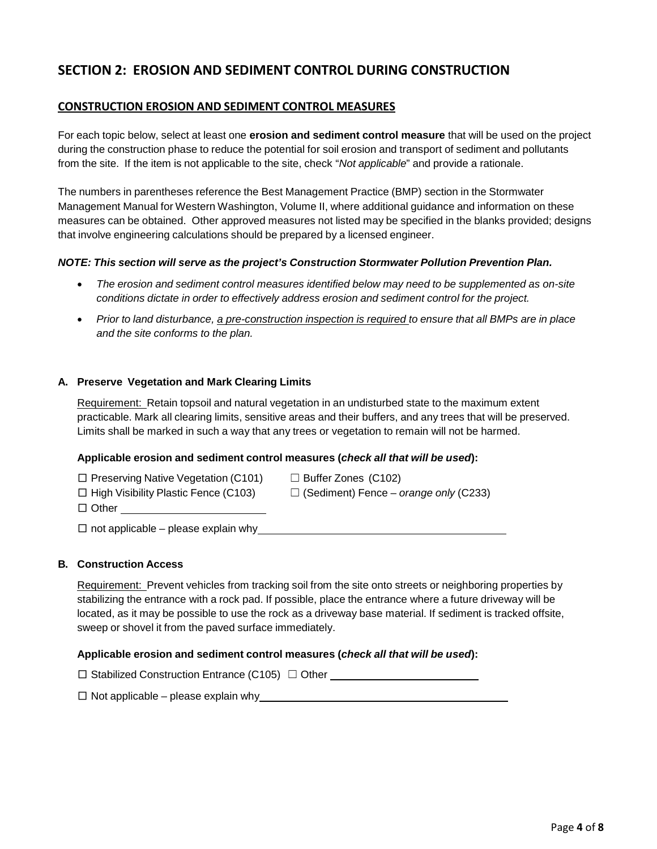# **SECTION 2: EROSION AND SEDIMENT CONTROL DURING CONSTRUCTION**

### **CONSTRUCTION EROSION AND SEDIMENT CONTROL MEASURES**

For each topic below, select at least one **erosion and sediment control measure** that will be used on the project during the construction phase to reduce the potential for soil erosion and transport of sediment and pollutants from the site. If the item is not applicable to the site, check "*Not applicable*" and provide a rationale.

The numbers in parentheses reference the Best Management Practice (BMP) section in the Stormwater Management Manual for Western Washington, Volume II, where additional guidance and information on these measures can be obtained. Other approved measures not listed may be specified in the blanks provided; designs that involve engineering calculations should be prepared by a licensed engineer.

#### *NOTE: This section will serve as the project's Construction Stormwater Pollution Prevention Plan.*

- *The erosion and sediment control measures identified below may need to be supplemented as on-site conditions dictate in order to effectively address erosion and sediment control for the project.*
- Prior to land disturbance, a pre-construction inspection is required to ensure that all BMPs are in place *and the site conforms to the plan.*

#### **A. Preserve Vegetation and Mark Clearing Limits**

Requirement: Retain topsoil and natural vegetation in an undisturbed state to the maximum extent practicable. Mark all clearing limits, sensitive areas and their buffers, and any trees that will be preserved. Limits shall be marked in such a way that any trees or vegetation to remain will not be harmed.

#### **Applicable erosion and sediment control measures (***check all that will be used***):**

| $\Box$ Preserving Native Vegetation (C101) | $\Box$ Buff     |
|--------------------------------------------|-----------------|
|                                            | $\Box$ $\Omega$ |

fer Zones (C102) □ High Visibility Plastic Fence (C103) ☐ (Sediment) Fence – *orange only* (C233)

 $\square$  not applicable – please explain why

#### **B. Construction Access**

□ Other

Requirement: Prevent vehicles from tracking soil from the site onto streets or neighboring properties by stabilizing the entrance with a rock pad. If possible, place the entrance where a future driveway will be located, as it may be possible to use the rock as a driveway base material. If sediment is tracked offsite, sweep or shovel it from the paved surface immediately.

#### **Applicable erosion and sediment control measures (***check all that will be used***):**

| $\Box$ Stabilized Construction Entrance (C105) $\Box$ Other |  |
|-------------------------------------------------------------|--|
|-------------------------------------------------------------|--|

 $\square$  Not applicable – please explain why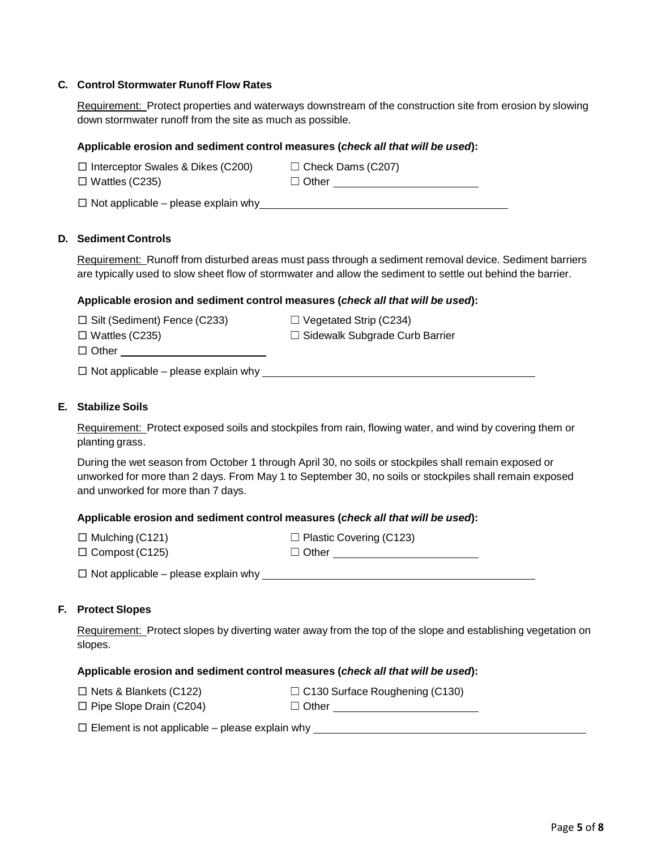#### **C. Control Stormwater Runoff Flow Rates**

Requirement: Protect properties and waterways downstream of the construction site from erosion by slowing down stormwater runoff from the site as much as possible.

#### **Applicable erosion and sediment control measures (***check all that will be used***):**

| $\Box$ Interceptor Swales & Dikes (C200) | $\Box$ Check Dams (C207) |
|------------------------------------------|--------------------------|
| $\Box$ Wattles (C235)                    | $\Box$ Other             |

#### **D. Sediment Controls**

Requirement: Runoff from disturbed areas must pass through a sediment removal device. Sediment barriers are typically used to slow sheet flow of stormwater and allow the sediment to settle out behind the barrier.

#### **Applicable erosion and sediment control measures (***check all that will be used***):**

| $\Box$ Silt (Sediment) Fence (C233) | $\Box$ Vegetated Strip (C234)         |
|-------------------------------------|---------------------------------------|
| $\Box$ Wattles (C235)               | $\Box$ Sidewalk Subgrade Curb Barrier |
| $\Box$ Other                        |                                       |

□ Not applicable – please explain why

#### **E. Stabilize Soils**

Requirement: Protect exposed soils and stockpiles from rain, flowing water, and wind by covering them or planting grass.

During the wet season from October 1 through April 30, no soils or stockpiles shall remain exposed or unworked for more than 2 days. From May 1 to September 30, no soils or stockpiles shall remain exposed and unworked for more than 7 days.

#### **Applicable erosion and sediment control measures (***check all that will be used***):**

| $\Box$ Mulching (C121) | $\Box$ Plastic Covering (C123) |
|------------------------|--------------------------------|
| $\Box$ Compost (C125)  | $\Box$ Other                   |

 $\square$  Not applicable – please explain why

#### **F. Protect Slopes**

Requirement: Protect slopes by diverting water away from the top of the slope and establishing vegetation on slopes.

#### **Applicable erosion and sediment control measures (***check all that will be used***):**

| $\Box$ Nets & Blankets (C122)  | $\Box$ C130 Surface Roughening (C130) |
|--------------------------------|---------------------------------------|
| $\Box$ Pipe Slope Drain (C204) | $\Box$ Other                          |

 $\square$  Element is not applicable – please explain why  $\square$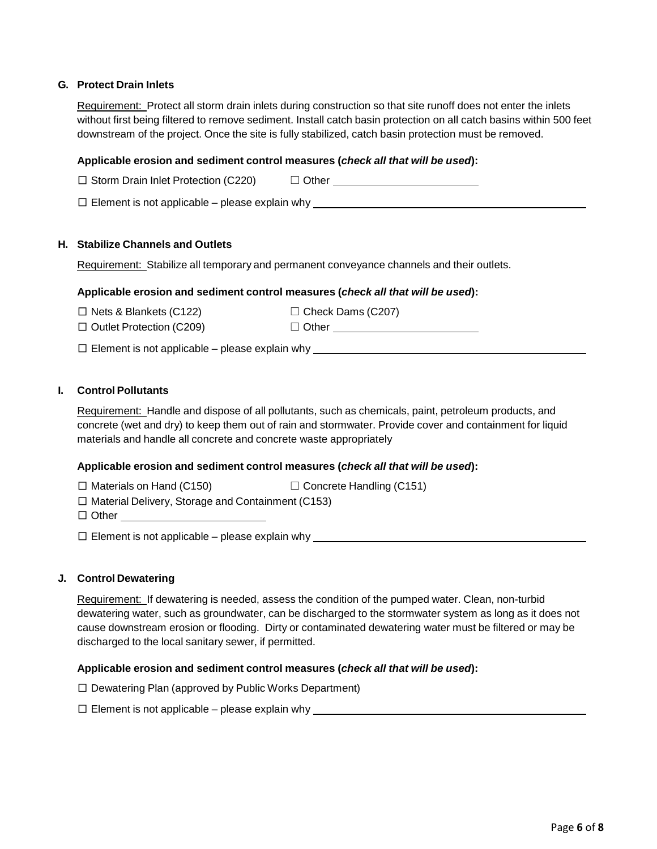#### **G. Protect Drain Inlets**

Requirement: Protect all storm drain inlets during construction so that site runoff does not enter the inlets without first being filtered to remove sediment. Install catch basin protection on all catch basins within 500 feet downstream of the project. Once the site is fully stabilized, catch basin protection must be removed.

#### **Applicable erosion and sediment control measures (***check all that will be used***):**

| $\Box$ Storm Drain Inlet Protection (C220)            | $\Box$ Other |
|-------------------------------------------------------|--------------|
| $\Box$ Element is not applicable – please explain why |              |

#### **H. Stabilize Channels and Outlets**

Requirement: Stabilize all temporary and permanent conveyance channels and their outlets.

#### **Applicable erosion and sediment control measures (***check all that will be used***):**

 $\Box$  Nets & Blankets (C122)  $\Box$  Check Dams (C207)

□ Outlet Protection (C209) ☐ Other

 $\square$  Element is not applicable – please explain why  $\square$ 

#### **I. Control Pollutants**

Requirement: Handle and dispose of all pollutants, such as chemicals, paint, petroleum products, and concrete (wet and dry) to keep them out of rain and stormwater. Provide cover and containment for liquid materials and handle all concrete and concrete waste appropriately

#### **Applicable erosion and sediment control measures (***check all that will be used***):**

 $\Box$  Materials on Hand (C150)  $\Box$  Concrete Handling (C151)

□ Material Delivery, Storage and Containment (C153)

□ Other **□** 

□ Element is not applicable – please explain why

#### **J. Control Dewatering**

Requirement: If dewatering is needed, assess the condition of the pumped water. Clean, non-turbid dewatering water, such as groundwater, can be discharged to the stormwater system as long as it does not cause downstream erosion or flooding. Dirty or contaminated dewatering water must be filtered or may be discharged to the local sanitary sewer, if permitted.

#### **Applicable erosion and sediment control measures (***check all that will be used***):**

□ Dewatering Plan (approved by Public Works Department)

 $\square$  Element is not applicable – please explain why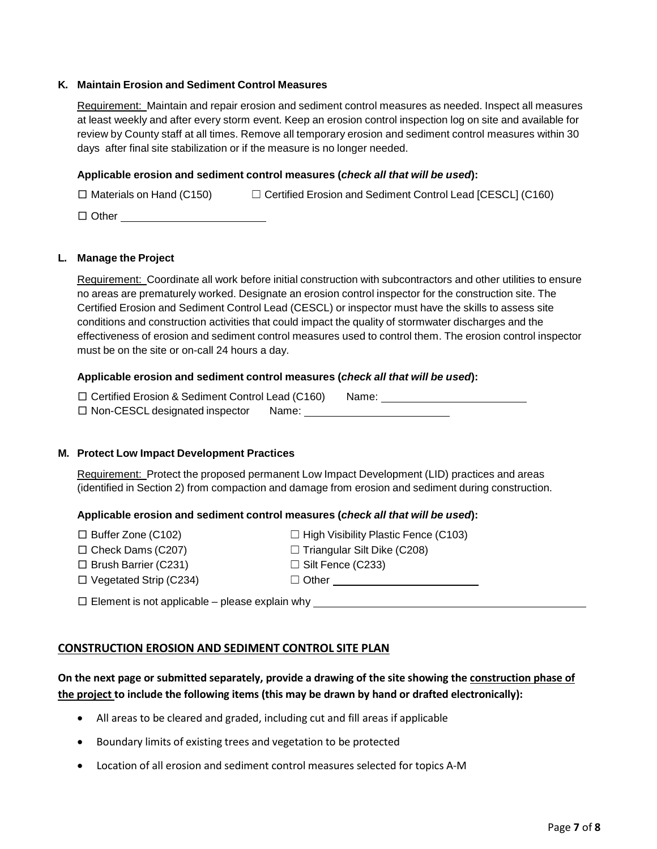#### **K. Maintain Erosion and Sediment Control Measures**

Requirement: Maintain and repair erosion and sediment control measures as needed. Inspect all measures at least weekly and after every storm event. Keep an erosion control inspection log on site and available for review by County staff at all times. Remove all temporary erosion and sediment control measures within 30 days after final site stabilization or if the measure is no longer needed.

#### **Applicable erosion and sediment control measures (***check all that will be used***):**

 $\Box$  Materials on Hand (C150)  $\Box$  Certified Erosion and Sediment Control Lead [CESCL] (C160)

□ Other

#### **L. Manage the Project**

Requirement: Coordinate all work before initial construction with subcontractors and other utilities to ensure no areas are prematurely worked. Designate an erosion control inspector for the construction site. The Certified Erosion and Sediment Control Lead (CESCL) or inspector must have the skills to assess site conditions and construction activities that could impact the quality of stormwater discharges and the effectiveness of erosion and sediment control measures used to control them. The erosion control inspector must be on the site or on-call 24 hours a day.

#### **Applicable erosion and sediment control measures (***check all that will be used***):**

□ Certified Erosion & Sediment Control Lead (C160) Name: □ Non-CESCL designated inspector Name:

#### **M. Protect Low Impact Development Practices**

Requirement: Protect the proposed permanent Low Impact Development (LID) practices and areas (identified in Section 2) from compaction and damage from erosion and sediment during construction.

#### **Applicable erosion and sediment control measures (***check all that will be used***):**

| $\Box$ Buffer Zone (C102) |  |
|---------------------------|--|
|---------------------------|--|

- 
- $\Box$  Brush Barrier (C231)  $\Box$  Silt Fence (C233)

 $\Box$  High Visibility Plastic Fence (C103)  $\Box$  Check Dams (C207)  $\Box$  Triangular Silt Dike (C208)

□ Vegetated Strip (C234) □ Other □ Other

 $\square$  Element is not applicable – please explain why  $\square$ 

## **CONSTRUCTION EROSION AND SEDIMENT CONTROL SITE PLAN**

# **On the next page or submitted separately, provide a drawing of the site showing the construction phase of the project to include the following items (this may be drawn by hand or drafted electronically):**

- All areas to be cleared and graded, including cut and fill areas if applicable
- Boundary limits of existing trees and vegetation to be protected
- Location of all erosion and sediment control measures selected for topics A-M